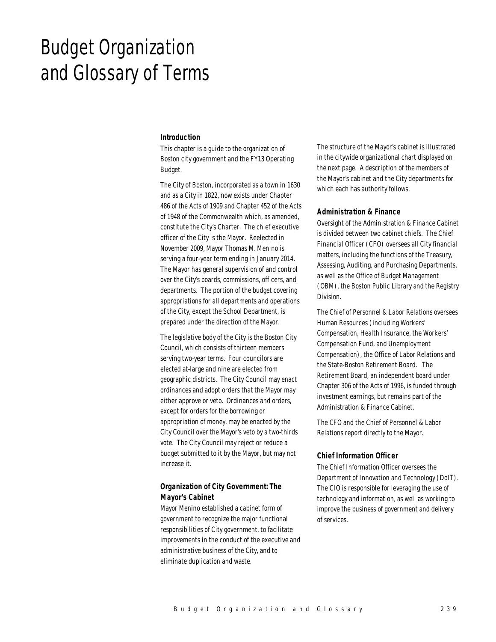# Budget Organization and Glossary of Terms

#### *Introduction*

This chapter is a guide to the organization of Boston city government and the FY13 Operating Budget.

The City of Boston, incorporated as a town in 1630 and as a City in 1822, now exists under Chapter 486 of the Acts of 1909 and Chapter 452 of the Acts of 1948 of the Commonwealth which, as amended, constitute the City's Charter. The chief executive officer of the City is the Mayor. Reelected in November 2009, Mayor Thomas M. Menino is serving a four-year term ending in January 2014. The Mayor has general supervision of and control over the City's boards, commissions, officers, and departments. The portion of the budget covering appropriations for all departments and operations of the City, except the School Department, is prepared under the direction of the Mayor.

The legislative body of the City is the Boston City Council, which consists of thirteen members serving two-year terms. Four councilors are elected at-large and nine are elected from geographic districts. The City Council may enact ordinances and adopt orders that the Mayor may either approve or veto. Ordinances and orders, except for orders for the borrowing or appropriation of money, may be enacted by the City Council over the Mayor's veto by a two-thirds vote. The City Council may reject or reduce a budget submitted to it by the Mayor, but may not increase it.

# *Organization of City Government: The Mayor's Cabinet*

Mayor Menino established a cabinet form of government to recognize the major functional responsibilities of City government, to facilitate improvements in the conduct of the executive and administrative business of the City, and to eliminate duplication and waste.

The structure of the Mayor's cabinet is illustrated in the citywide organizational chart displayed on the next page. A description of the members of the Mayor's cabinet and the City departments for which each has authority follows.

### *Administration & Finance*

Oversight of the Administration & Finance Cabinet is divided between two cabinet chiefs. The Chief Financial Officer (CFO) oversees all City financial matters, including the functions of the Treasury, Assessing, Auditing, and Purchasing Departments, as well as the Office of Budget Management (OBM), the Boston Public Library and the Registry Division.

The Chief of Personnel & Labor Relations oversees Human Resources (including Workers' Compensation, Health Insurance, the Workers' Compensation Fund, and Unemployment Compensation), the Office of Labor Relations and the State-Boston Retirement Board. The Retirement Board, an independent board under Chapter 306 of the Acts of 1996, is funded through investment earnings, but remains part of the Administration & Finance Cabinet.

The CFO and the Chief of Personnel & Labor Relations report directly to the Mayor.

#### *Chief Information Officer*

The Chief Information Officer oversees the Department of Innovation and Technology (DoIT). The CIO is responsible for leveraging the use of technology and information, as well as working to improve the business of government and delivery of services.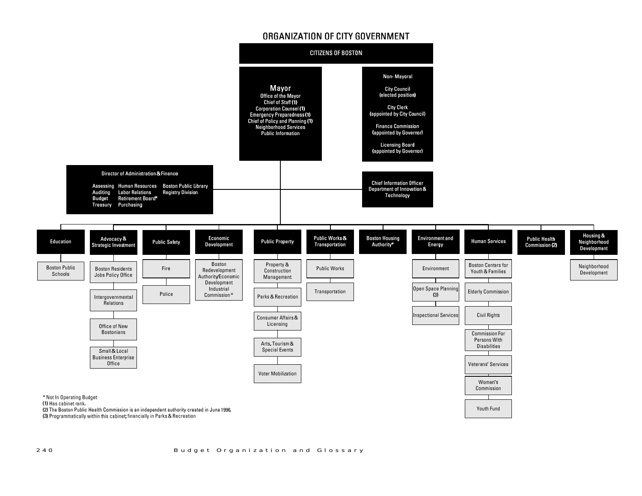# ORGANIZATION OF CITY GOVERNMENT

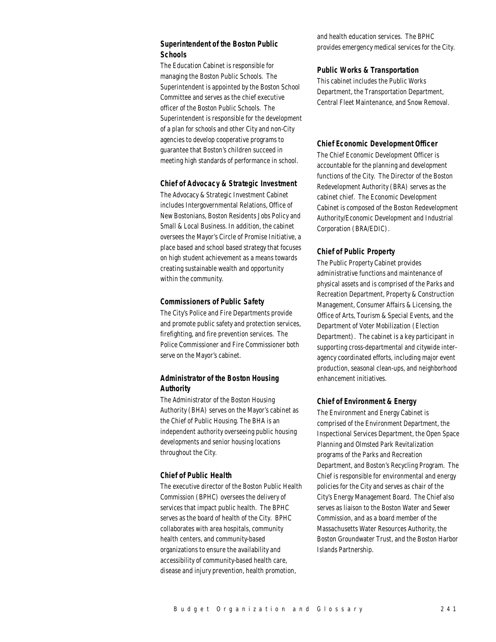# *Superintendent of the Boston Public Schools*

The Education Cabinet is responsible for managing the Boston Public Schools. The Superintendent is appointed by the Boston School Committee and serves as the chief executive officer of the Boston Public Schools. The Superintendent is responsible for the development of a plan for schools and other City and non-City agencies to develop cooperative programs to guarantee that Boston's children succeed in meeting high standards of performance in school.

#### *Chief of Advocacy & Strategic Investment*

The Advocacy & Strategic Investment Cabinet includes Intergovernmental Relations, Office of New Bostonians, Boston Residents Jobs Policy and Small & Local Business. In addition, the cabinet oversees the Mayor's Circle of Promise Initiative, a place based and school based strategy that focuses on high student achievement as a means towards creating sustainable wealth and opportunity within the community.

## *Commissioners of Public Safety*

The City's Police and Fire Departments provide and promote public safety and protection services, firefighting, and fire prevention services. The Police Commissioner and Fire Commissioner both serve on the Mayor's cabinet.

## *Administrator of the Boston Housing Authority*

The Administrator of the Boston Housing Authority (BHA) serves on the Mayor's cabinet as the Chief of Public Housing. The BHA is an independent authority overseeing public housing developments and senior housing locations throughout the City.

## *Chief of Public Health*

The executive director of the Boston Public Health Commission (BPHC) oversees the delivery of services that impact public health. The BPHC serves as the board of health of the City. BPHC collaborates with area hospitals, community health centers, and community-based organizations to ensure the availability and accessibility of community-based health care, disease and injury prevention, health promotion,

and health education services. The BPHC provides emergency medical services for the City.

### *Public Works & Transportation*

This cabinet includes the Public Works Department, the Transportation Department, Central Fleet Maintenance, and Snow Removal.

## *Chief Economic Development Officer*

The Chief Economic Development Officer is accountable for the planning and development functions of the City. The Director of the Boston Redevelopment Authority (BRA) serves as the cabinet chief. The Economic Development Cabinet is composed of the Boston Redevelopment Authority/Economic Development and Industrial Corporation (BRA/EDIC).

## *Chief of Public Property*

The Public Property Cabinet provides administrative functions and maintenance of physical assets and is comprised of the Parks and Recreation Department, Property & Construction Management, Consumer Affairs & Licensing, the Office of Arts, Tourism & Special Events, and the Department of Voter Mobilization (Election Department). The cabinet is a key participant in supporting cross-departmental and citywide interagency coordinated efforts, including major event production, seasonal clean-ups, and neighborhood enhancement initiatives.

#### *Chief of Environment & Energy*

The Environment and Energy Cabinet is comprised of the Environment Department, the Inspectional Services Department, the Open Space Planning and Olmsted Park Revitalization programs of the Parks and Recreation Department, and Boston's Recycling Program. The Chief is responsible for environmental and energy policies for the City and serves as chair of the City's Energy Management Board. The Chief also serves as liaison to the Boston Water and Sewer Commission, and as a board member of the Massachusetts Water Resources Authority, the Boston Groundwater Trust, and the Boston Harbor Islands Partnership.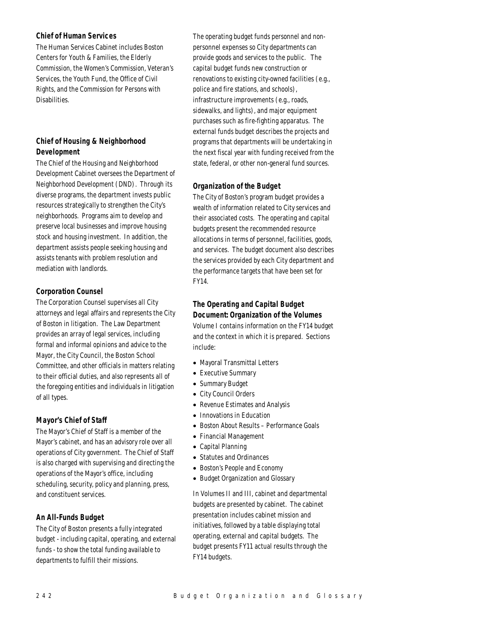## *Chief of Human Services*

The Human Services Cabinet includes Boston Centers for Youth & Families, the Elderly Commission, the Women's Commission, Veteran's Services, the Youth Fund, the Office of Civil Rights, and the Commission for Persons with Disabilities.

# *Chief of Housing & Neighborhood Development*

The Chief of the Housing and Neighborhood Development Cabinet oversees the Department of Neighborhood Development (DND). Through its diverse programs, the department invests public resources strategically to strengthen the City's neighborhoods. Programs aim to develop and preserve local businesses and improve housing stock and housing investment. In addition, the department assists people seeking housing and assists tenants with problem resolution and mediation with landlords.

# *Corporation Counsel*

The Corporation Counsel supervises all City attorneys and legal affairs and represents the City of Boston in litigation. The Law Department provides an array of legal services, including formal and informal opinions and advice to the Mayor, the City Council, the Boston School Committee, and other officials in matters relating to their official duties, and also represents all of the foregoing entities and individuals in litigation of all types.

# *Mayor's Chief of Staff*

The Mayor's Chief of Staff is a member of the Mayor's cabinet, and has an advisory role over all operations of City government. The Chief of Staff is also charged with supervising and directing the operations of the Mayor's office, including scheduling, security, policy and planning, press, and constituent services.

# *An All-Funds Budget*

The City of Boston presents a fully integrated budget - including capital, operating, and external funds - to show the total funding available to departments to fulfill their missions.

The operating budget funds personnel and nonpersonnel expenses so City departments can provide goods and services to the public. The capital budget funds new construction or renovations to existing city-owned facilities (e.g., police and fire stations, and schools), infrastructure improvements (e.g., roads, sidewalks, and lights), and major equipment purchases such as fire-fighting apparatus. The external funds budget describes the projects and programs that departments will be undertaking in the next fiscal year with funding received from the state, federal, or other non-general fund sources.

# *Organization of the Budget*

The City of Boston's program budget provides a wealth of information related to City services and their associated costs. The operating and capital budgets present the recommended resource allocations in terms of personnel, facilities, goods, and services. The budget document also describes the services provided by each City department and the performance targets that have been set for FY14.

# *The Operating and Capital Budget Document: Organization of the Volumes*

Volume I contains information on the FY14 budget and the context in which it is prepared. Sections include:

- Mayoral Transmittal Letters
- Executive Summary
- Summary Budget
- City Council Orders
- Revenue Estimates and Analysis
- Innovations in Education
- Boston About Results Performance Goals
- Financial Management
- Capital Planning
- Statutes and Ordinances
- Boston's People and Economy
- Budget Organization and Glossary

In Volumes II and III, cabinet and departmental budgets are presented by cabinet. The cabinet presentation includes cabinet mission and initiatives, followed by a table displaying total operating, external and capital budgets. The budget presents FY11 actual results through the FY14 budgets.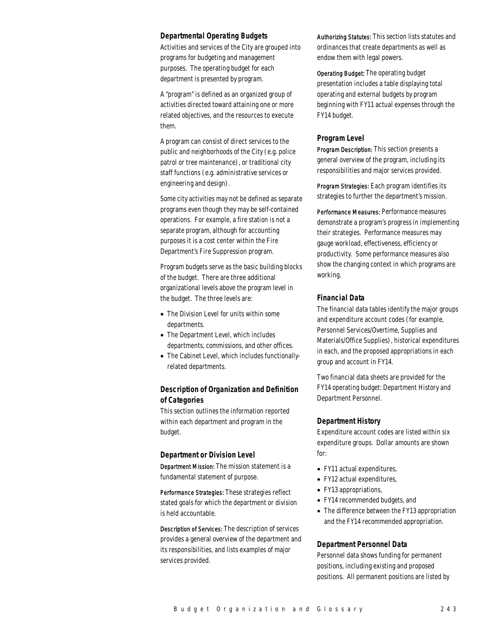### *Departmental Operating Budgets*

Activities and services of the City are grouped into programs for budgeting and management purposes. The operating budget for each department is presented by program.

A "program" is defined as an organized group of activities directed toward attaining one or more related objectives, and the resources to execute them.

A program can consist of direct services to the public and neighborhoods of the City (e.g. police patrol or tree maintenance), or traditional city staff functions (e.g. administrative services or engineering and design).

Some city activities may not be defined as separate programs even though they may be self-contained operations. For example, a fire station is not a separate program, although for accounting purposes it is a cost center within the Fire Department's Fire Suppression program.

Program budgets serve as the basic building blocks of the budget. There are three additional organizational levels above the program level in the budget. The three levels are:

- The Division Level for units within some departments.
- The Department Level, which includes departments, commissions, and other offices.
- The Cabinet Level, which includes functionallyrelated departments.

## *Description of Organization and Definition of Categories*

This section outlines the information reported within each department and program in the budget.

## *Department or Division Level*

Department Mission: The mission statement is a fundamental statement of purpose.

Performance Strategies: These strategies reflect stated goals for which the department or division is held accountable.

Description of Services: The description of services provides a general overview of the department and its responsibilities, and lists examples of major services provided.

Authorizing Statutes: This section lists statutes and ordinances that create departments as well as endow them with legal powers.

Operating Budget: The operating budget presentation includes a table displaying total operating and external budgets by program beginning with FY11 actual expenses through the FY14 budget.

## *Program Level*

Program Description: This section presents a general overview of the program, including its responsibilities and major services provided.

Program Strategies: Each program identifies its strategies to further the department's mission.

Performance Measures: Performance measures demonstrate a program's progress in implementing their strategies. Performance measures may gauge workload, effectiveness, efficiency or productivity. Some performance measures also show the changing context in which programs are working.

## *Financial Data*

The financial data tables identify the major groups and expenditure account codes (for example, Personnel Services/Overtime, Supplies and Materials/Office Supplies), historical expenditures in each, and the proposed appropriations in each group and account in FY14.

Two financial data sheets are provided for the FY14 operating budget: Department History and Department Personnel.

#### *Department History*

Expenditure account codes are listed within six expenditure groups. Dollar amounts are shown for:

- FY11 actual expenditures,
- FY12 actual expenditures,
- FY13 appropriations,
- FY14 recommended budgets, and
- The difference between the FY13 appropriation and the FY14 recommended appropriation.

#### *Department Personnel Data*

Personnel data shows funding for permanent positions, including existing and proposed positions. All permanent positions are listed by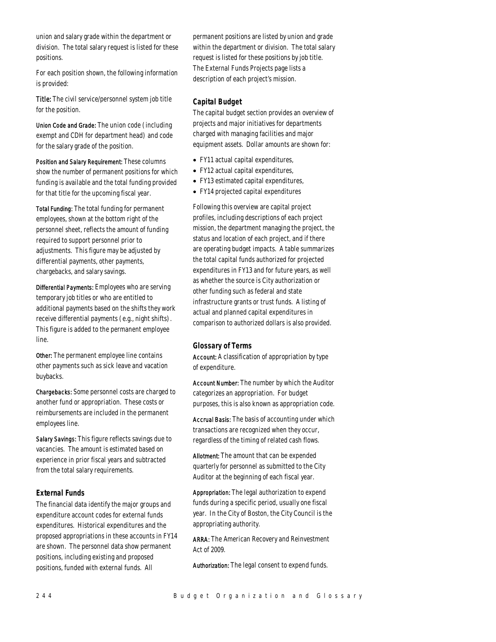union and salary grade within the department or division. The total salary request is listed for these positions.

For each position shown, the following information is provided:

Title: The civil service/personnel system job title for the position.

Union Code and Grade: The union code (including exempt and CDH for department head) and code for the salary grade of the position.

Position and Salary Requirement: These columns show the number of permanent positions for which funding is available and the total funding provided for that title for the upcoming fiscal year.

Total Funding: The total funding for permanent employees, shown at the bottom right of the personnel sheet, reflects the amount of funding required to support personnel prior to adjustments. This figure may be adjusted by differential payments, other payments, chargebacks, and salary savings.

Differential Payments: Employees who are serving temporary job titles or who are entitled to additional payments based on the shifts they work receive differential payments (e.g., night shifts). This figure is added to the permanent employee line.

Other: The permanent employee line contains other payments such as sick leave and vacation buybacks.

Chargebacks: Some personnel costs are charged to another fund or appropriation. These costs or reimbursements are included in the permanent employees line.

Salary Savings: This figure reflects savings due to vacancies. The amount is estimated based on experience in prior fiscal years and subtracted from the total salary requirements.

## *External Funds*

The financial data identify the major groups and expenditure account codes for external funds expenditures. Historical expenditures and the proposed appropriations in these accounts in FY14 are shown. The personnel data show permanent positions, including existing and proposed positions, funded with external funds. All

permanent positions are listed by union and grade within the department or division. The total salary request is listed for these positions by job title. The External Funds Projects page lists a description of each project's mission.

## *Capital Budget*

The capital budget section provides an overview of projects and major initiatives for departments charged with managing facilities and major equipment assets. Dollar amounts are shown for:

- FY11 actual capital expenditures,
- FY12 actual capital expenditures,
- FY13 estimated capital expenditures,
- FY14 projected capital expenditures

Following this overview are capital project profiles, including descriptions of each project mission, the department managing the project, the status and location of each project, and if there are operating budget impacts. A table summarizes the total capital funds authorized for projected expenditures in FY13 and for future years, as well as whether the source is City authorization or other funding such as federal and state infrastructure grants or trust funds. A listing of actual and planned capital expenditures in comparison to authorized dollars is also provided.

## *Glossary of Terms*

Account: A classification of appropriation by type of expenditure.

Account Number: The number by which the Auditor categorizes an appropriation. For budget purposes, this is also known as appropriation code.

Accrual Basis: The basis of accounting under which transactions are recognized when they occur, regardless of the timing of related cash flows.

Allotment: The amount that can be expended quarterly for personnel as submitted to the City Auditor at the beginning of each fiscal year.

Appropriation: The legal authorization to expend funds during a specific period, usually one fiscal year. In the City of Boston, the City Council is the appropriating authority.

ARRA: The American Recovery and Reinvestment Act of 2009.

Authorization: The legal consent to expend funds.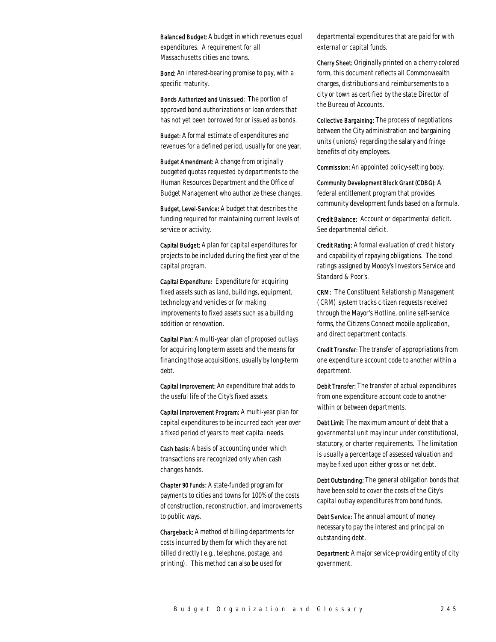Balanced Budget: A budget in which revenues equal expenditures. A requirement for all Massachusetts cities and towns.

Bond: An interest-bearing promise to pay, with a specific maturity.

Bonds Authorized and Unissued: The portion of approved bond authorizations or loan orders that has not yet been borrowed for or issued as bonds.

Budget: A formal estimate of expenditures and revenues for a defined period, usually for one year.

Budget Amendment: A change from originally budgeted quotas requested by departments to the Human Resources Department and the Office of Budget Management who authorize these changes.

Budget, Level-Service*:* A budget that describes the funding required for maintaining current levels of service or activity.

Capital Budget: A plan for capital expenditures for projects to be included during the first year of the capital program.

Capital Expenditure: Expenditure for acquiring fixed assets such as land, buildings, equipment, technology and vehicles or for making improvements to fixed assets such as a building addition or renovation.

Capital Plan: A multi-year plan of proposed outlays for acquiring long-term assets and the means for financing those acquisitions, usually by long-term debt.

Capital Improvement: An expenditure that adds to the useful life of the City's fixed assets.

Capital Improvement Program: A multi-year plan for capital expenditures to be incurred each year over a fixed period of years to meet capital needs.

Cash basis: A basis of accounting under which transactions are recognized only when cash changes hands.

Chapter 90 Funds: A state-funded program for payments to cities and towns for 100% of the costs of construction, reconstruction, and improvements to public ways.

Chargeback: A method of billing departments for costs incurred by them for which they are not billed directly (e.g., telephone, postage, and printing). This method can also be used for

departmental expenditures that are paid for with external or capital funds.

Cherry Sheet: Originally printed on a cherry-colored form, this document reflects all Commonwealth charges, distributions and reimbursements to a city or town as certified by the state Director of the Bureau of Accounts.

Collective Bargaining: The process of negotiations between the City administration and bargaining units (unions) regarding the salary and fringe benefits of city employees.

Commission: An appointed policy-setting body.

Community Development Block Grant (CDBG): A federal entitlement program that provides community development funds based on a formula.

Credit Balance: Account or departmental deficit. See departmental deficit.

Credit Rating: A formal evaluation of credit history and capability of repaying obligations. The bond ratings assigned by Moody's Investors Service and Standard & Poor's.

CRM: The Constituent Relationship Management (CRM) system tracks citizen requests received through the Mayor's Hotline, online self-service forms, the Citizens Connect mobile application, and direct department contacts.

Credit Transfer: The transfer of appropriations from one expenditure account code to another within a department.

Debit Transfer: The transfer of actual expenditures from one expenditure account code to another within or between departments.

Debt Limit: The maximum amount of debt that a governmental unit may incur under constitutional, statutory, or charter requirements. The limitation is usually a percentage of assessed valuation and may be fixed upon either gross or net debt.

Debt Outstanding: The general obligation bonds that have been sold to cover the costs of the City's capital outlay expenditures from bond funds.

Debt Service: The annual amount of money necessary to pay the interest and principal on outstanding debt.

Department: A major service-providing entity of city government.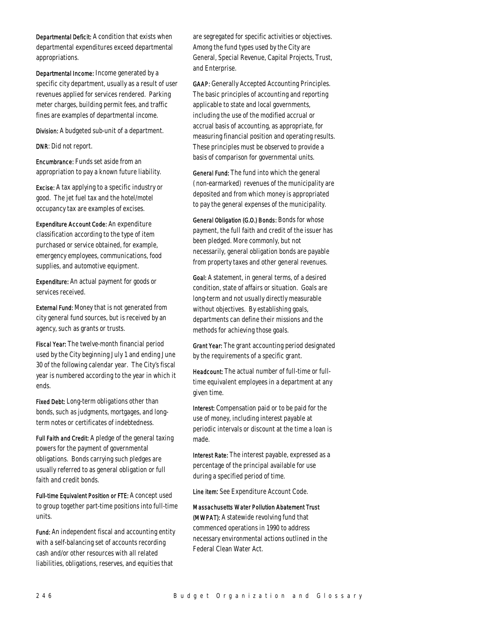Departmental Deficit: A condition that exists when departmental expenditures exceed departmental appropriations.

Departmental Income: Income generated by a specific city department, usually as a result of user revenues applied for services rendered. Parking meter charges, building permit fees, and traffic fines are examples of departmental income.

Division: A budgeted sub-unit of a department.

DNR: Did not report.

Encumbrance: Funds set aside from an appropriation to pay a known future liability.

Excise: A tax applying to a specific industry or good. The jet fuel tax and the hotel/motel occupancy tax are examples of excises.

Expenditure Account Code: An expenditure classification according to the type of item purchased or service obtained, for example, emergency employees, communications, food supplies, and automotive equipment.

Expenditure: An actual payment for goods or services received.

External Fund: Money that is not generated from city general fund sources, but is received by an agency, such as grants or trusts.

Fiscal Year: The twelve-month financial period used by the City beginning July 1 and ending June 30 of the following calendar year. The City's fiscal year is numbered according to the year in which it ends.

Fixed Debt: Long-term obligations other than bonds, such as judgments, mortgages, and longterm notes or certificates of indebtedness.

Full Faith and Credit: A pledge of the general taxing powers for the payment of governmental obligations. Bonds carrying such pledges are usually referred to as general obligation or full faith and credit bonds.

Full-time Equivalent Position or FTE: A concept used to group together part-time positions into full-time units.

Fund: An independent fiscal and accounting entity with a self-balancing set of accounts recording cash and/or other resources with all related liabilities, obligations, reserves, and equities that

are segregated for specific activities or objectives. Among the fund types used by the City are General, Special Revenue, Capital Projects, Trust, and Enterprise.

GAAP: Generally Accepted Accounting Principles. The basic principles of accounting and reporting applicable to state and local governments, including the use of the modified accrual or accrual basis of accounting, as appropriate, for measuring financial position and operating results. These principles must be observed to provide a basis of comparison for governmental units.

General Fund: The fund into which the general (non-earmarked) revenues of the municipality are deposited and from which money is appropriated to pay the general expenses of the municipality.

General Obligation (G.O.) Bonds: Bonds for whose payment, the full faith and credit of the issuer has been pledged. More commonly, but not necessarily, general obligation bonds are payable from property taxes and other general revenues.

Goal: A statement, in general terms, of a desired condition, state of affairs or situation. Goals are long-term and not usually directly measurable without objectives. By establishing goals, departments can define their missions and the methods for achieving those goals.

Grant Year: The grant accounting period designated by the requirements of a specific grant.

Headcount: The actual number of full-time or fulltime equivalent employees in a department at any given time.

Interest: Compensation paid or to be paid for the use of money, including interest payable at periodic intervals or discount at the time a loan is made.

Interest Rate: The interest payable, expressed as a percentage of the principal available for use during a specified period of time.

Line item: See Expenditure Account Code.

Massachusetts Water Pollution Abatement Trust (MWPAT): A statewide revolving fund that commenced operations in 1990 to address necessary environmental actions outlined in the Federal Clean Water Act.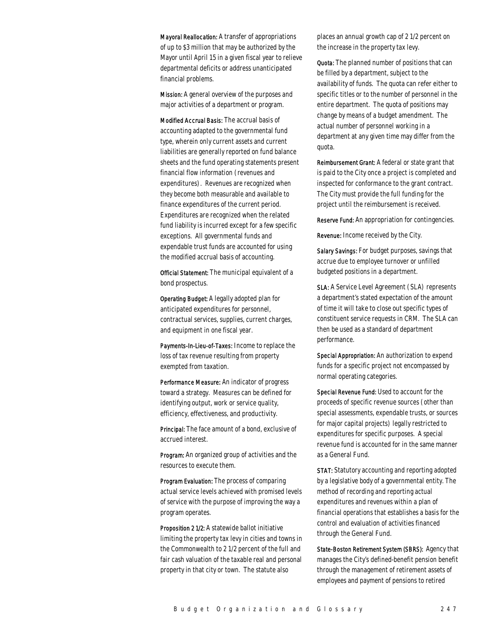Mayoral Reallocation: A transfer of appropriations of up to \$3 million that may be authorized by the Mayor until April 15 in a given fiscal year to relieve departmental deficits or address unanticipated financial problems.

Mission: A general overview of the purposes and major activities of a department or program.

Modified Accrual Basis: The accrual basis of accounting adapted to the governmental fund type, wherein only current assets and current liabilities are generally reported on fund balance sheets and the fund operating statements present financial flow information (revenues and expenditures). Revenues are recognized when they become both measurable and available to finance expenditures of the current period. Expenditures are recognized when the related fund liability is incurred except for a few specific exceptions. All governmental funds and expendable trust funds are accounted for using the modified accrual basis of accounting.

Official Statement: The municipal equivalent of a bond prospectus.

Operating Budget: A legally adopted plan for anticipated expenditures for personnel, contractual services, supplies, current charges, and equipment in one fiscal year.

Payments-In-Lieu-of-Taxes: Income to replace the loss of tax revenue resulting from property exempted from taxation.

Performance Measure: An indicator of progress toward a strategy. Measures can be defined for identifying output, work or service quality, efficiency, effectiveness, and productivity.

Principal: The face amount of a bond, exclusive of accrued interest.

Program: An organized group of activities and the resources to execute them.

Program Evaluation: The process of comparing actual service levels achieved with promised levels of service with the purpose of improving the way a program operates.

Proposition 2 1/2: A statewide ballot initiative limiting the property tax levy in cities and towns in the Commonwealth to 2 1/2 percent of the full and fair cash valuation of the taxable real and personal property in that city or town. The statute also

places an annual growth cap of 2 1/2 percent on the increase in the property tax levy.

Quota: The planned number of positions that can be filled by a department, subject to the availability of funds. The quota can refer either to specific titles or to the number of personnel in the entire department. The quota of positions may change by means of a budget amendment. The actual number of personnel working in a department at any given time may differ from the quota.

Reimbursement Grant: A federal or state grant that is paid to the City once a project is completed and inspected for conformance to the grant contract. The City must provide the full funding for the project until the reimbursement is received.

Reserve Fund: An appropriation for contingencies.

Revenue: Income received by the City.

Salary Savings: For budget purposes, savings that accrue due to employee turnover or unfilled budgeted positions in a department.

SLA: A Service Level Agreement (SLA) represents a department's stated expectation of the amount of time it will take to close out specific types of constituent service requests in CRM. The SLA can then be used as a standard of department performance.

Special Appropriation: An authorization to expend funds for a specific project not encompassed by normal operating categories.

Special Revenue Fund: Used to account for the proceeds of specific revenue sources (other than special assessments, expendable trusts, or sources for major capital projects) legally restricted to expenditures for specific purposes. A special revenue fund is accounted for in the same manner as a General Fund.

STAT: Statutory accounting and reporting adopted by a legislative body of a governmental entity. The method of recording and reporting actual expenditures and revenues within a plan of financial operations that establishes a basis for the control and evaluation of activities financed through the General Fund.

State-Boston Retirement System (SBRS): Agency that manages the City's defined-benefit pension benefit through the management of retirement assets of employees and payment of pensions to retired